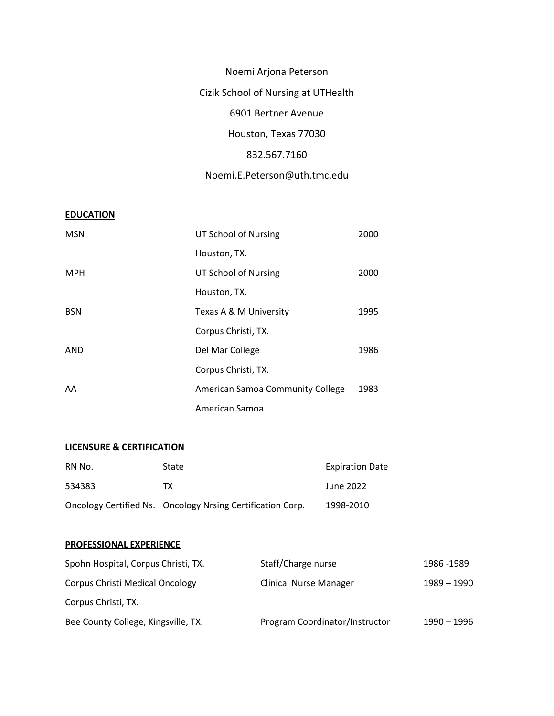Noemi Arjona Peterson Cizik School of Nursing at UTHealth 6901 Bertner Avenue Houston, Texas 77030 832.567.7160

Noemi.E.Peterson@uth.tmc.edu

# **EDUCATION**

| <b>MSN</b> | UT School of Nursing             | 2000 |
|------------|----------------------------------|------|
|            | Houston, TX.                     |      |
| <b>MPH</b> | UT School of Nursing             | 2000 |
|            | Houston, TX.                     |      |
| <b>BSN</b> | Texas A & M University           | 1995 |
|            | Corpus Christi, TX.              |      |
| AND        | Del Mar College                  | 1986 |
|            | Corpus Christi, TX.              |      |
| AA         | American Samoa Community College | 1983 |
|            | American Samoa                   |      |

# **LICENSURE & CERTIFICATION**

| RN No. | <b>State</b>                                               | <b>Expiration Date</b> |
|--------|------------------------------------------------------------|------------------------|
| 534383 | тх                                                         | June 2022              |
|        | Oncology Certified Ns. Oncology Nrsing Certification Corp. | 1998-2010              |

## **PROFESSIONAL EXPERIENCE**

| Spohn Hospital, Corpus Christi, TX.    | Staff/Charge nurse             | 1986 - 1989 |
|----------------------------------------|--------------------------------|-------------|
| <b>Corpus Christi Medical Oncology</b> | <b>Clinical Nurse Manager</b>  | 1989 - 1990 |
| Corpus Christi, TX.                    |                                |             |
| Bee County College, Kingsville, TX.    | Program Coordinator/Instructor | 1990 - 1996 |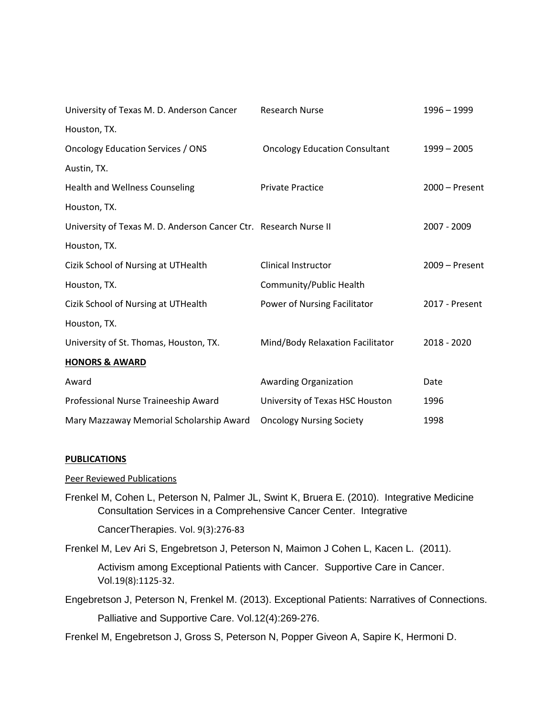| University of Texas M. D. Anderson Cancer                        | <b>Research Nurse</b>                | 1996 - 1999    |
|------------------------------------------------------------------|--------------------------------------|----------------|
| Houston, TX.                                                     |                                      |                |
| Oncology Education Services / ONS                                | <b>Oncology Education Consultant</b> | $1999 - 2005$  |
| Austin, TX.                                                      |                                      |                |
| Health and Wellness Counseling                                   | <b>Private Practice</b>              | 2000 - Present |
| Houston, TX.                                                     |                                      |                |
| University of Texas M. D. Anderson Cancer Ctr. Research Nurse II |                                      | 2007 - 2009    |
| Houston, TX.                                                     |                                      |                |
| Cizik School of Nursing at UTHealth                              | Clinical Instructor                  | 2009 - Present |
| Houston, TX.                                                     | Community/Public Health              |                |
| Cizik School of Nursing at UTHealth                              | Power of Nursing Facilitator         | 2017 - Present |
| Houston, TX.                                                     |                                      |                |
| University of St. Thomas, Houston, TX.                           | Mind/Body Relaxation Facilitator     | 2018 - 2020    |
| <b>HONORS &amp; AWARD</b>                                        |                                      |                |
| Award                                                            | Awarding Organization                | Date           |
| Professional Nurse Traineeship Award                             | University of Texas HSC Houston      | 1996           |
| Mary Mazzaway Memorial Scholarship Award                         | <b>Oncology Nursing Society</b>      | 1998           |

## **PUBLICATIONS**

Peer Reviewed Publications

Frenkel M, Cohen L, Peterson N, Palmer JL, Swint K, Bruera E. (2010). Integrative Medicine Consultation Services in a Comprehensive Cancer Center. Integrative

CancerTherapies. Vol. 9(3):276-83

Frenkel M, Lev Ari S, Engebretson J, Peterson N, Maimon J Cohen L, Kacen L. (2011).

Activism among Exceptional Patients with Cancer. Supportive Care in Cancer. Vol.19(8):1125-32.

Engebretson J, Peterson N, Frenkel M. (2013). Exceptional Patients: Narratives of Connections. Palliative and Supportive Care. Vol.12(4):269-276.

Frenkel M, Engebretson J, Gross S, Peterson N, Popper Giveon A, Sapire K, Hermoni D.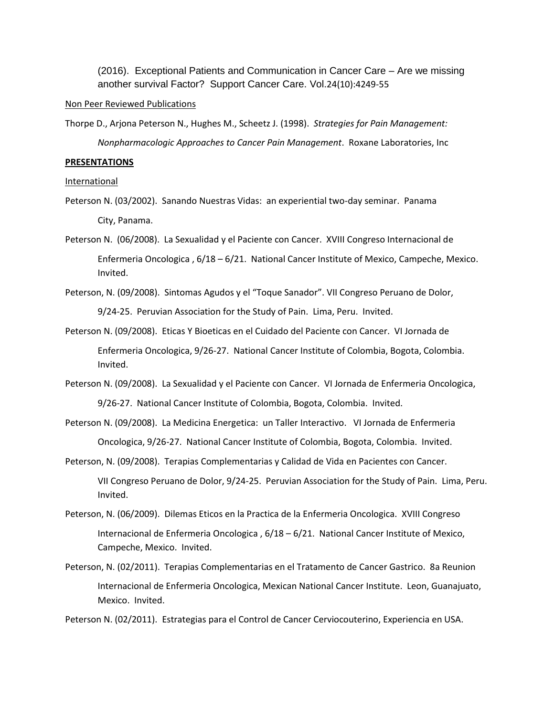(2016). Exceptional Patients and Communication in Cancer Care – Are we missing another survival Factor? Support Cancer Care. Vol.24(10):4249-55

#### Non Peer Reviewed Publications

Thorpe D., Arjona Peterson N., Hughes M., Scheetz J. (1998). *Strategies for Pain Management: Nonpharmacologic Approaches to Cancer Pain Management*. Roxane Laboratories, Inc

#### **PRESENTATIONS**

International

- Peterson N. (03/2002). Sanando Nuestras Vidas: an experiential two-day seminar. Panama City, Panama.
- Peterson N. (06/2008). La Sexualidad y el Paciente con Cancer. XVIII Congreso Internacional de Enfermeria Oncologica , 6/18 – 6/21. National Cancer Institute of Mexico, Campeche, Mexico. Invited.
- Peterson, N. (09/2008). Sintomas Agudos y el "Toque Sanador". VII Congreso Peruano de Dolor, 9/24-25. Peruvian Association for the Study of Pain. Lima, Peru. Invited.
- Peterson N. (09/2008). Eticas Y Bioeticas en el Cuidado del Paciente con Cancer. VI Jornada de Enfermeria Oncologica, 9/26-27. National Cancer Institute of Colombia, Bogota, Colombia. Invited.
- Peterson N. (09/2008). La Sexualidad y el Paciente con Cancer. VI Jornada de Enfermeria Oncologica, 9/26-27. National Cancer Institute of Colombia, Bogota, Colombia. Invited.
- Peterson N. (09/2008). La Medicina Energetica: un Taller Interactivo. VI Jornada de Enfermeria Oncologica, 9/26-27. National Cancer Institute of Colombia, Bogota, Colombia. Invited.

Peterson, N. (09/2008). Terapias Complementarias y Calidad de Vida en Pacientes con Cancer.

VII Congreso Peruano de Dolor, 9/24-25. Peruvian Association for the Study of Pain. Lima, Peru. Invited.

- Peterson, N. (06/2009). Dilemas Eticos en la Practica de la Enfermeria Oncologica. XVIII Congreso Internacional de Enfermeria Oncologica , 6/18 – 6/21. National Cancer Institute of Mexico, Campeche, Mexico. Invited.
- Peterson, N. (02/2011). Terapias Complementarias en el Tratamento de Cancer Gastrico. 8a Reunion Internacional de Enfermeria Oncologica, Mexican National Cancer Institute. Leon, Guanajuato, Mexico. Invited.

Peterson N. (02/2011). Estrategias para el Control de Cancer Cerviocouterino, Experiencia en USA.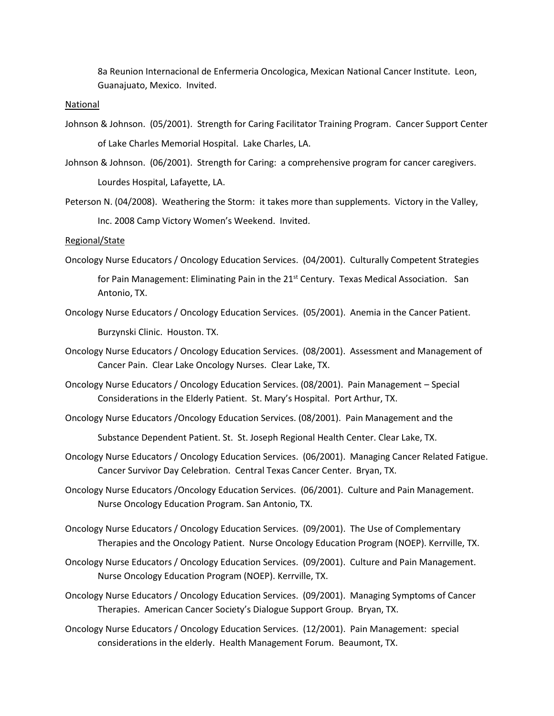8a Reunion Internacional de Enfermeria Oncologica, Mexican National Cancer Institute. Leon, Guanajuato, Mexico. Invited.

#### National

- Johnson & Johnson. (05/2001). Strength for Caring Facilitator Training Program. Cancer Support Center of Lake Charles Memorial Hospital. Lake Charles, LA.
- Johnson & Johnson. (06/2001). Strength for Caring: a comprehensive program for cancer caregivers. Lourdes Hospital, Lafayette, LA.
- Peterson N. (04/2008). Weathering the Storm: it takes more than supplements. Victory in the Valley, Inc. 2008 Camp Victory Women's Weekend. Invited.

Regional/State

Oncology Nurse Educators / Oncology Education Services. (04/2001). Culturally Competent Strategies

for Pain Management: Eliminating Pain in the 21<sup>st</sup> Century. Texas Medical Association. San Antonio, TX.

- Oncology Nurse Educators / Oncology Education Services. (05/2001). Anemia in the Cancer Patient. Burzynski Clinic. Houston. TX.
- Oncology Nurse Educators / Oncology Education Services. (08/2001). Assessment and Management of Cancer Pain. Clear Lake Oncology Nurses. Clear Lake, TX.
- Oncology Nurse Educators / Oncology Education Services. (08/2001). Pain Management Special Considerations in the Elderly Patient. St. Mary's Hospital. Port Arthur, TX.
- Oncology Nurse Educators /Oncology Education Services. (08/2001). Pain Management and the

Substance Dependent Patient. St. St. Joseph Regional Health Center. Clear Lake, TX.

- Oncology Nurse Educators / Oncology Education Services. (06/2001). Managing Cancer Related Fatigue. Cancer Survivor Day Celebration. Central Texas Cancer Center. Bryan, TX.
- Oncology Nurse Educators /Oncology Education Services. (06/2001). Culture and Pain Management. Nurse Oncology Education Program. San Antonio, TX.
- Oncology Nurse Educators / Oncology Education Services. (09/2001). The Use of Complementary Therapies and the Oncology Patient. Nurse Oncology Education Program (NOEP). Kerrville, TX.
- Oncology Nurse Educators / Oncology Education Services. (09/2001). Culture and Pain Management. Nurse Oncology Education Program (NOEP). Kerrville, TX.
- Oncology Nurse Educators / Oncology Education Services. (09/2001). Managing Symptoms of Cancer Therapies. American Cancer Society's Dialogue Support Group. Bryan, TX.
- Oncology Nurse Educators / Oncology Education Services. (12/2001). Pain Management: special considerations in the elderly. Health Management Forum. Beaumont, TX.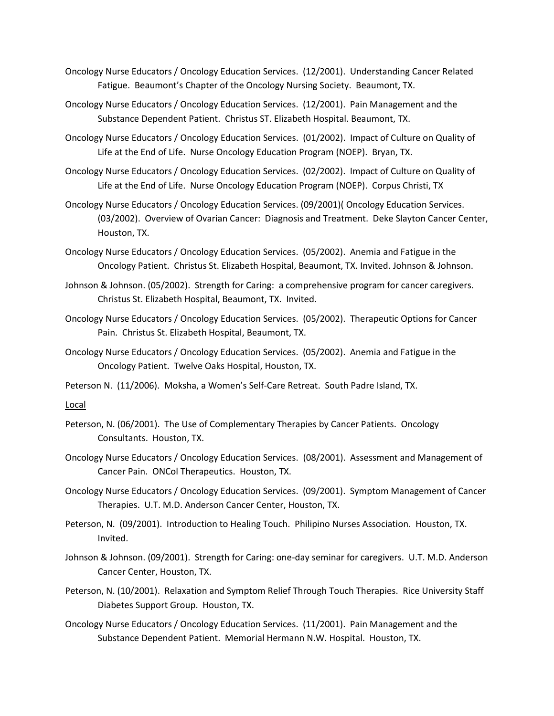- Oncology Nurse Educators / Oncology Education Services. (12/2001). Understanding Cancer Related Fatigue. Beaumont's Chapter of the Oncology Nursing Society. Beaumont, TX.
- Oncology Nurse Educators / Oncology Education Services. (12/2001). Pain Management and the Substance Dependent Patient. Christus ST. Elizabeth Hospital. Beaumont, TX.
- Oncology Nurse Educators / Oncology Education Services. (01/2002). Impact of Culture on Quality of Life at the End of Life. Nurse Oncology Education Program (NOEP). Bryan, TX.
- Oncology Nurse Educators / Oncology Education Services. (02/2002). Impact of Culture on Quality of Life at the End of Life. Nurse Oncology Education Program (NOEP). Corpus Christi, TX
- Oncology Nurse Educators / Oncology Education Services. (09/2001)( Oncology Education Services. (03/2002). Overview of Ovarian Cancer: Diagnosis and Treatment. Deke Slayton Cancer Center, Houston, TX.
- Oncology Nurse Educators / Oncology Education Services. (05/2002). Anemia and Fatigue in the Oncology Patient. Christus St. Elizabeth Hospital, Beaumont, TX. Invited. Johnson & Johnson.
- Johnson & Johnson. (05/2002). Strength for Caring: a comprehensive program for cancer caregivers. Christus St. Elizabeth Hospital, Beaumont, TX. Invited.
- Oncology Nurse Educators / Oncology Education Services. (05/2002). Therapeutic Options for Cancer Pain. Christus St. Elizabeth Hospital, Beaumont, TX.
- Oncology Nurse Educators / Oncology Education Services. (05/2002). Anemia and Fatigue in the Oncology Patient. Twelve Oaks Hospital, Houston, TX.
- Peterson N. (11/2006). Moksha, a Women's Self-Care Retreat. South Padre Island, TX.

Local

- Peterson, N. (06/2001). The Use of Complementary Therapies by Cancer Patients. Oncology Consultants. Houston, TX.
- Oncology Nurse Educators / Oncology Education Services. (08/2001). Assessment and Management of Cancer Pain. ONCol Therapeutics. Houston, TX.
- Oncology Nurse Educators / Oncology Education Services. (09/2001). Symptom Management of Cancer Therapies. U.T. M.D. Anderson Cancer Center, Houston, TX.
- Peterson, N. (09/2001). Introduction to Healing Touch. Philipino Nurses Association. Houston, TX. Invited.
- Johnson & Johnson. (09/2001). Strength for Caring: one-day seminar for caregivers. U.T. M.D. Anderson Cancer Center, Houston, TX.
- Peterson, N. (10/2001). Relaxation and Symptom Relief Through Touch Therapies. Rice University Staff Diabetes Support Group. Houston, TX.
- Oncology Nurse Educators / Oncology Education Services. (11/2001). Pain Management and the Substance Dependent Patient. Memorial Hermann N.W. Hospital. Houston, TX.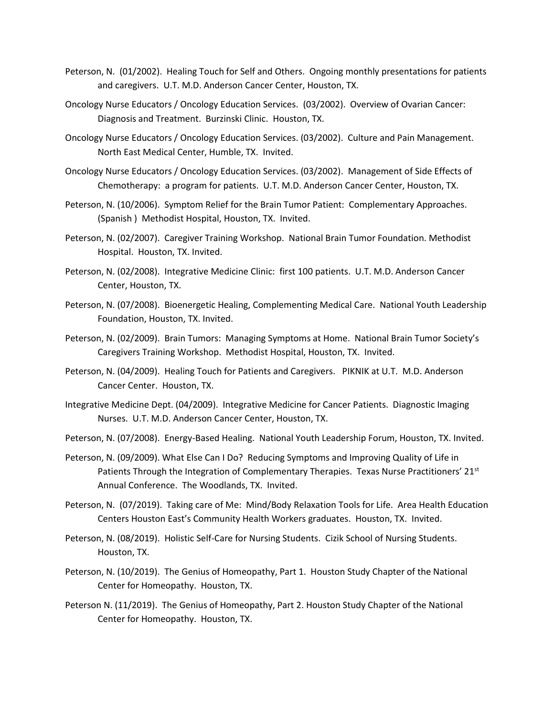- Peterson, N. (01/2002). Healing Touch for Self and Others. Ongoing monthly presentations for patients and caregivers. U.T. M.D. Anderson Cancer Center, Houston, TX.
- Oncology Nurse Educators / Oncology Education Services. (03/2002). Overview of Ovarian Cancer: Diagnosis and Treatment. Burzinski Clinic. Houston, TX.
- Oncology Nurse Educators / Oncology Education Services. (03/2002). Culture and Pain Management. North East Medical Center, Humble, TX. Invited.
- Oncology Nurse Educators / Oncology Education Services. (03/2002). Management of Side Effects of Chemotherapy: a program for patients. U.T. M.D. Anderson Cancer Center, Houston, TX.
- Peterson, N. (10/2006). Symptom Relief for the Brain Tumor Patient: Complementary Approaches. (Spanish ) Methodist Hospital, Houston, TX. Invited.
- Peterson, N. (02/2007). Caregiver Training Workshop. National Brain Tumor Foundation. Methodist Hospital. Houston, TX. Invited.
- Peterson, N. (02/2008). Integrative Medicine Clinic: first 100 patients. U.T. M.D. Anderson Cancer Center, Houston, TX.
- Peterson, N. (07/2008). Bioenergetic Healing, Complementing Medical Care. National Youth Leadership Foundation, Houston, TX. Invited.
- Peterson, N. (02/2009). Brain Tumors: Managing Symptoms at Home. National Brain Tumor Society's Caregivers Training Workshop. Methodist Hospital, Houston, TX. Invited.
- Peterson, N. (04/2009). Healing Touch for Patients and Caregivers. PIKNIK at U.T. M.D. Anderson Cancer Center. Houston, TX.
- Integrative Medicine Dept. (04/2009). Integrative Medicine for Cancer Patients. Diagnostic Imaging Nurses. U.T. M.D. Anderson Cancer Center, Houston, TX.
- Peterson, N. (07/2008). Energy-Based Healing. National Youth Leadership Forum, Houston, TX. Invited.
- Peterson, N. (09/2009). What Else Can I Do? Reducing Symptoms and Improving Quality of Life in Patients Through the Integration of Complementary Therapies. Texas Nurse Practitioners' 21<sup>st</sup> Annual Conference. The Woodlands, TX. Invited.
- Peterson, N. (07/2019). Taking care of Me: Mind/Body Relaxation Tools for Life. Area Health Education Centers Houston East's Community Health Workers graduates. Houston, TX. Invited.
- Peterson, N. (08/2019). Holistic Self-Care for Nursing Students. Cizik School of Nursing Students. Houston, TX.
- Peterson, N. (10/2019). The Genius of Homeopathy, Part 1. Houston Study Chapter of the National Center for Homeopathy. Houston, TX.
- Peterson N. (11/2019). The Genius of Homeopathy, Part 2. Houston Study Chapter of the National Center for Homeopathy. Houston, TX.